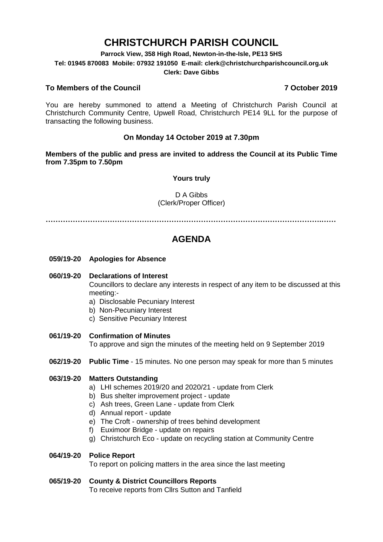# **CHRISTCHURCH PARISH COUNCIL**

**Parrock View, 358 High Road, Newton-in-the-Isle, PE13 5HS**

**Tel: 01945 870083 Mobile: 07932 191050 E-mail: clerk@christchurchparishcouncil.org.uk**

#### **Clerk: Dave Gibbs**

### **To Members of the Council 7 October 2019**

You are hereby summoned to attend a Meeting of Christchurch Parish Council at Christchurch Community Centre, Upwell Road, Christchurch PE14 9LL for the purpose of transacting the following business.

### **On Monday 14 October 2019 at 7.30pm**

**Members of the public and press are invited to address the Council at its Public Time from 7.35pm to 7.50pm**

#### **Yours truly**

#### D A Gibbs (Clerk/Proper Officer)

**………………………………………………………………………………………………….……**

## **AGENDA**

**059/19-20 Apologies for Absence**

#### **060/19-20 Declarations of Interest**

Councillors to declare any interests in respect of any item to be discussed at this meeting:-

- a) Disclosable Pecuniary Interest
- b) Non-Pecuniary Interest
- c) Sensitive Pecuniary Interest
- **061/19-20 Confirmation of Minutes**

To approve and sign the minutes of the meeting held on 9 September 2019

**062/19-20 Public Time** - 15 minutes. No one person may speak for more than 5 minutes

#### **063/19-20 Matters Outstanding**

- a) LHI schemes 2019/20 and 2020/21 update from Clerk
- b) Bus shelter improvement project update
- c) Ash trees, Green Lane update from Clerk
- d) Annual report update
- e) The Croft ownership of trees behind development
- f) Euximoor Bridge update on repairs
- g) Christchurch Eco update on recycling station at Community Centre

#### **064/19-20 Police Report**

To report on policing matters in the area since the last meeting

#### **065/19-20 County & District Councillors Reports**

To receive reports from Cllrs Sutton and Tanfield